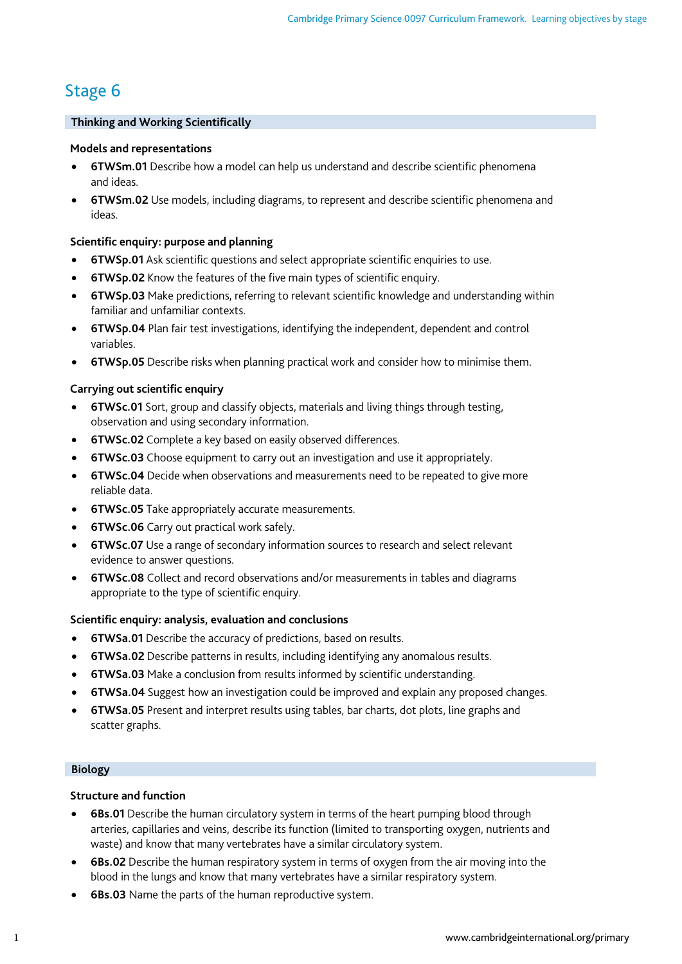# Stage 6

# **Thinking and Working Scientifically**

## **Models and representations**

- **6TWSm.01** Describe how a model can help us understand and describe scientific phenomena and ideas.
- **6TWSm.02** Use models, including diagrams, to represent and describe scientific phenomena and ideas.

# **Scientific enquiry: purpose and planning**

- **6TWSp.01** Ask scientific questions and select appropriate scientific enquiries to use.
- **6TWSp.02** Know the features of the five main types of scientific enquiry.
- **6TWSp.03** Make predictions, referring to relevant scientific knowledge and understanding within familiar and unfamiliar contexts.
- **6TWSp.04** Plan fair test investigations, identifying the independent, dependent and control variables.
- **6TWSp.05** Describe risks when planning practical work and consider how to minimise them.

# **Carrying out scientific enquiry**

- **6TWSc.01** Sort, group and classify objects, materials and living things through testing, observation and using secondary information.
- **6TWSc.02** Complete a key based on easily observed differences.
- **6TWSc.03** Choose equipment to carry out an investigation and use it appropriately.
- **6TWSc.04** Decide when observations and measurements need to be repeated to give more reliable data.
- **6TWSc.05** Take appropriately accurate measurements.
- **6TWSc.06** Carry out practical work safely.
- **6TWSc.07** Use a range of secondary information sources to research and select relevant evidence to answer questions.
- **6TWSc.08** Collect and record observations and/or measurements in tables and diagrams appropriate to the type of scientific enquiry.

# **Scientific enquiry: analysis, evaluation and conclusions**

- **6TWSa.01** Describe the accuracy of predictions, based on results.
- **6TWSa.02** Describe patterns in results, including identifying any anomalous results.
- **6TWSa.03** Make a conclusion from results informed by scientific understanding.
- **6TWSa.04** Suggest how an investigation could be improved and explain any proposed changes.
- **6TWSa.05** Present and interpret results using tables, bar charts, dot plots, line graphs and scatter graphs.

## **Biology**

## **Structure and function**

- **6Bs.01** Describe the human circulatory system in terms of the heart pumping blood through arteries, capillaries and veins, describe its function (limited to transporting oxygen, nutrients and waste) and know that many vertebrates have a similar circulatory system.
- **6Bs.02** Describe the human respiratory system in terms of oxygen from the air moving into the blood in the lungs and know that many vertebrates have a similar respiratory system.
- **6Bs.03** Name the parts of the human reproductive system.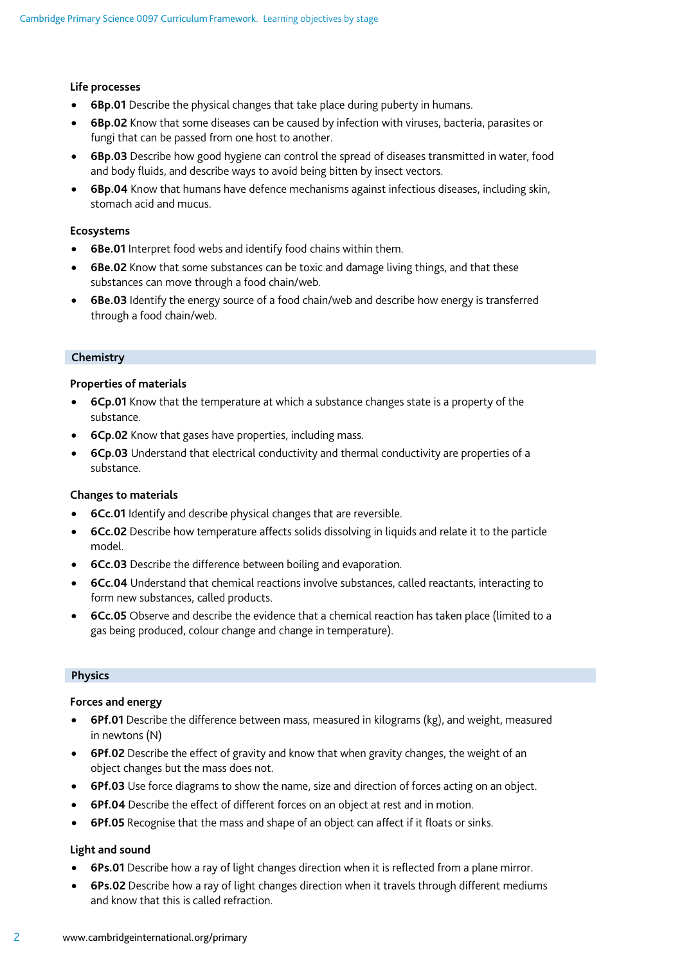#### **Life processes**

- **6Bp.01** Describe the physical changes that take place during puberty in humans.
- **6Bp.02** Know that some diseases can be caused by infection with viruses, bacteria, parasites or fungi that can be passed from one host to another.
- **6Bp.03** Describe how good hygiene can control the spread of diseases transmitted in water, food and body fluids, and describe ways to avoid being bitten by insect vectors.
- **6Bp.04** Know that humans have defence mechanisms against infectious diseases, including skin, stomach acid and mucus.

#### **Ecosystems**

- **6Be.01** Interpret food webs and identify food chains within them.
- **6Be.02** Know that some substances can be toxic and damage living things, and that these substances can move through a food chain/web.
- **6Be.03** Identify the energy source of a food chain/web and describe how energy is transferred through a food chain/web.

#### **Chemistry**

#### **Properties of materials**

- **6Cp.01** Know that the temperature at which a substance changes state is a property of the substance.
- **6Cp.02** Know that gases have properties, including mass.
- **6Cp.03** Understand that electrical conductivity and thermal conductivity are properties of a substance.

## **Changes to materials**

- **6Cc.01** Identify and describe physical changes that are reversible.
- **6Cc.02** Describe how temperature affects solids dissolving in liquids and relate it to the particle model.
- **6Cc.03** Describe the difference between boiling and evaporation.
- **6Cc.04** Understand that chemical reactions involve substances, called reactants, interacting to form new substances, called products.
- **6Cc.05** Observe and describe the evidence that a chemical reaction has taken place (limited to a gas being produced, colour change and change in temperature).

#### **Physics**

#### **Forces and energy**

- **6Pf.01** Describe the difference between mass, measured in kilograms (kg), and weight, measured in newtons (N)
- **6Pf.02** Describe the effect of gravity and know that when gravity changes, the weight of an object changes but the mass does not.
- **6Pf.03** Use force diagrams to show the name, size and direction of forces acting on an object.
- **6Pf.04** Describe the effect of different forces on an object at rest and in motion.
- **6Pf.05** Recognise that the mass and shape of an object can affect if it floats or sinks.

## **Light and sound**

- **6Ps.01** Describe how a ray of light changes direction when it is reflected from a plane mirror.
- **6Ps.02** Describe how a ray of light changes direction when it travels through different mediums and know that this is called refraction.